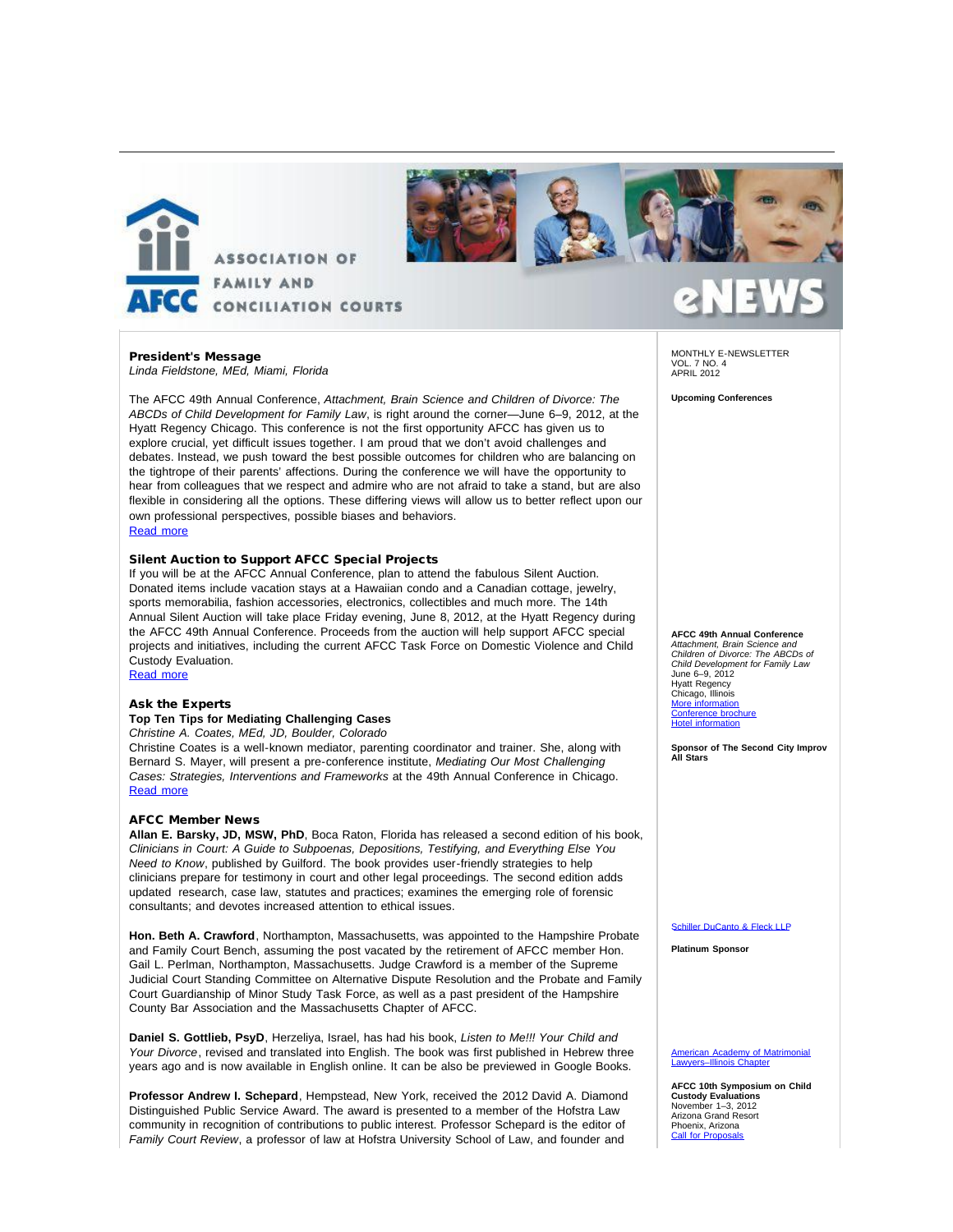



### President's Message *Linda Fieldstone, MEd, Miami, Florida*

The AFCC 49th Annual Conference, *Attachment, Brain Science and Children of Divorce: The ABCDs of Child Development for Family Law*, is right around the corner—June 6–9, 2012, at the Hyatt Regency Chicago. This conference is not the first opportunity AFCC has given us to explore crucial, yet difficult issues together. I am proud that we don't avoid challenges and debates. Instead, we push toward the best possible outcomes for children who are balancing on the tightrope of their parents' affections. During the conference we will have the opportunity to hear from colleagues that we respect and admire who are not afraid to take a stand, but are also flexible in considering all the options. These differing views will allow us to better reflect upon our own professional perspectives, possible biases and behaviors.

## [Read more](http://afcc.networkats.com/members_online/utilities/emailct.asp?bca9f43c8522c41d7c9a852ad9a4d770546afde0d1a0b4ee90bcb0176650eeecb8237cd0bb7cf0cd)

### Silent Auction to Support AFCC Special Projects

If you will be at the AFCC Annual Conference, plan to attend the fabulous Silent Auction. Donated items include vacation stays at a Hawaiian condo and a Canadian cottage, jewelry, sports memorabilia, fashion accessories, electronics, collectibles and much more. The 14th Annual Silent Auction will take place Friday evening, June 8, 2012, at the Hyatt Regency during the AFCC 49th Annual Conference. Proceeds from the auction will help support AFCC special projects and initiatives, including the current AFCC Task Force on Domestic Violence and Child Custody Evaluation. [Read more](http://afcc.networkats.com/members_online/utilities/emailct.asp?0aaad87647c41e5e68c8bf5dc0faabfce63f3608d1a0b4ee90bcb0176650eeecb8237cd0bb7cf0cd)

### Ask the Experts

# **Top Ten Tips for Mediating Challenging Cases**

*Christine A. Coates, MEd, JD, Boulder, Colorado* 

Christine Coates is a well-known mediator, parenting coordinator and trainer. She, along with Bernard S. Mayer, will present a pre-conference institute, *Mediating Our Most Challenging Cases: Strategies, Interventions and Frameworks* at the 49th Annual Conference in Chicago. [Read more](http://afcc.networkats.com/members_online/utilities/emailct.asp?dedc54cf11b26844aad99f22a6c3ee06d09db854d1a0b4ee90bcb0176650eeecb8237cd0bb7cf0cd)

### AFCC Member News

**Allan E. Barsky, JD, MSW, PhD**, Boca Raton, Florida has released a second edition of his book, *Clinicians in Court: A Guide to Subpoenas, Depositions, Testifying, and Everything Else You Need to Know*, published by Guilford. The book provides user-friendly strategies to help clinicians prepare for testimony in court and other legal proceedings. The second edition adds updated research, case law, statutes and practices; examines the emerging role of forensic consultants; and devotes increased attention to ethical issues.

**Hon. Beth A. Crawford**, Northampton, Massachusetts, was appointed to the Hampshire Probate and Family Court Bench, assuming the post vacated by the retirement of AFCC member Hon. Gail L. Perlman, Northampton, Massachusetts. Judge Crawford is a member of the Supreme Judicial Court Standing Committee on Alternative Dispute Resolution and the Probate and Family Court Guardianship of Minor Study Task Force, as well as a past president of the Hampshire County Bar Association and the Massachusetts Chapter of AFCC.

**Daniel S. Gottlieb, PsyD**, Herzeliya, Israel, has had his book, *Listen to Me!!! Your Child and Your Divorce*, revised and translated into English. The book was first published in Hebrew three years ago and is now available in English online. It can be also be previewed in Google Books.

**Professor Andrew I. Schepard**, Hempstead, New York, received the 2012 David A. Diamond Distinguished Public Service Award. The award is presented to a member of the Hofstra Law community in recognition of contributions to public interest. Professor Schepard is the editor of *Family Court Review*, a professor of law at Hofstra University School of Law, and founder and

MONTHLY E-NEWSLETTER VOL. 7 NO. 4 APRIL 2012

**Upcoming Conferences**

## **AFCC 49th Annual Conference**

*Attachment, Brain Science and Children of Divorce: The ABCDs of Child Development for Family Law* June 6–9, 2012 Hyatt Regency Chicago, Illinois [More information](http://afcc.networkats.com/members_online/utilities/emailct.asp?e65c12e81b9de158f5dcc12778becb2a48ce36a8d1a0b4ee90bcb0176650eeecb8237cd0bb7cf0cd) [Conference brochure](http://afcc.networkats.com/members_online/utilities/emailct.asp?112c402fa2f9a44a9db0504450a0afa07362e647d1a0b4ee90bcb0176650eeecb8237cd0bb7cf0cd) [Hotel information](http://afcc.networkats.com/members_online/utilities/emailct.asp?e65c12e81b9de158f5dcc12778becb2a48ce36a8d1a0b4ee90bcb0176650eeecb8237cd0bb7cf0cd)

**Sponsor of The Second City Improv All Stars**

### [Schiller DuCanto & Fleck LLP](http://afcc.networkats.com/members_online/utilities/emailct.asp?adf51f3236923a723b5b9b7ce97f02f9443e7b3ad1a0b4ee90bcb0176650eeecb8237cd0bb7cf0cd)

**Platinum Sponsor**

[American Academy of Matrimonial](http://afcc.networkats.com/members_online/utilities/emailct.asp?b1ca79ed8f962f7758a1e08e14dfc45e9f333325d1a0b4ee90bcb0176650eeecb8237cd0bb7cf0cd) [Lawyers–Illinois Chapter](http://afcc.networkats.com/members_online/utilities/emailct.asp?b1ca79ed8f962f7758a1e08e14dfc45e9f333325d1a0b4ee90bcb0176650eeecb8237cd0bb7cf0cd)

**AFCC 10th Symposium on Child Custody Evaluations** November 1–3, 2012 Arizona Grand Resort Phoenix, Arizona [Call for Proposals](http://afcc.networkats.com/members_online/utilities/emailct.asp?e1c8167a9c14bf0954364f0e190ffb814ffe6683d1a0b4ee90bcb0176650eeecb8237cd0bb7cf0cd)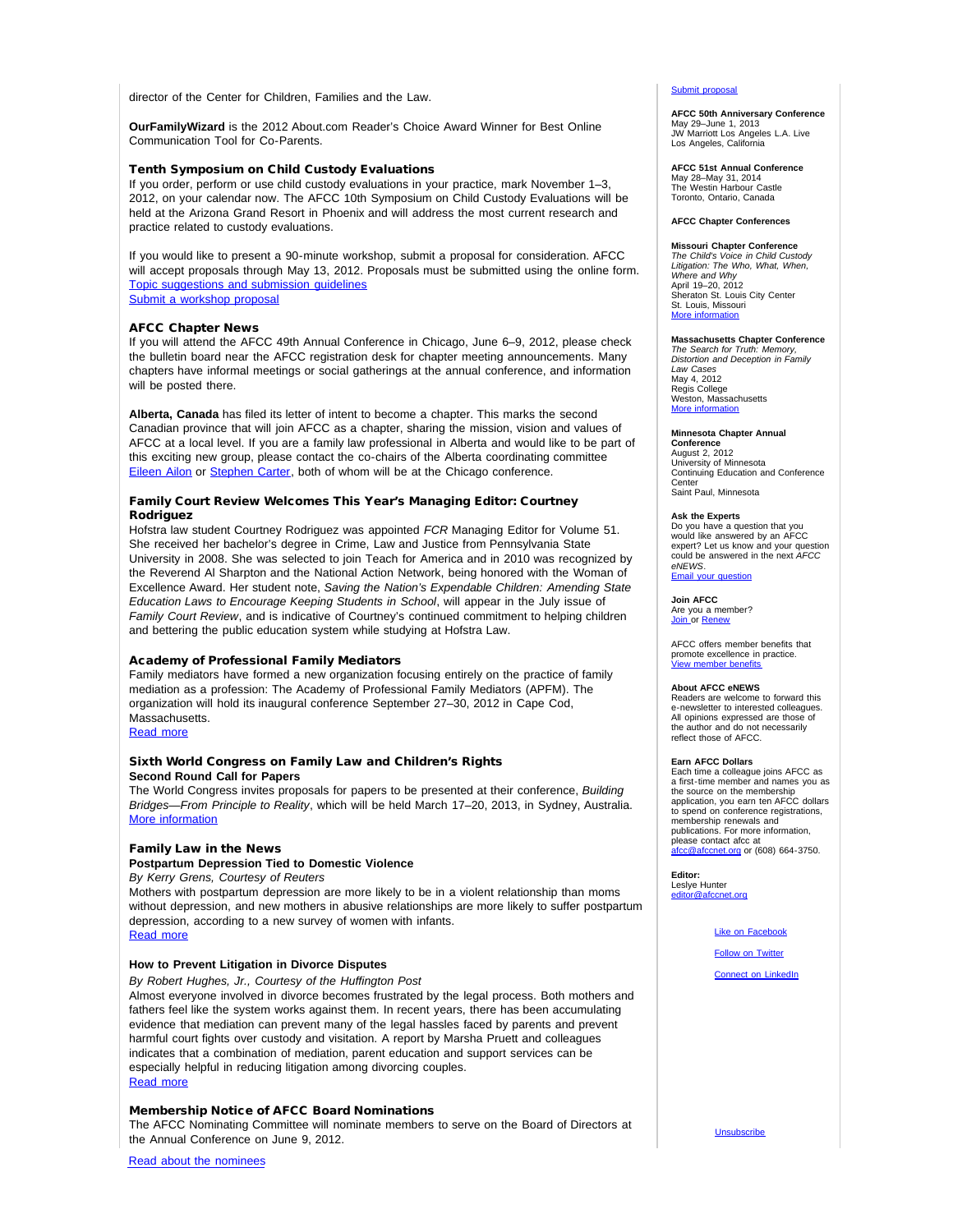director of the Center for Children, Families and the Law.

**OurFamilyWizard** is the 2012 About.com Reader's Choice Award Winner for Best Online Communication Tool for Co-Parents.

### Tenth Symposium on Child Custody Evaluations

If you order, perform or use child custody evaluations in your practice, mark November 1–3, 2012, on your calendar now. The AFCC 10th Symposium on Child Custody Evaluations will be held at the Arizona Grand Resort in Phoenix and will address the most current research and practice related to custody evaluations.

If you would like to present a 90-minute workshop, submit a proposal for consideration. AFCC will accept proposals through May 13, 2012. Proposals must be submitted using the online form. [Topic suggestions and submission guidelines](http://afcc.networkats.com/members_online/utilities/emailct.asp?e1c8167a9c14bf0954364f0e190ffb814ffe6683d1a0b4ee90bcb0176650eeecb8237cd0bb7cf0cd) [Submit a workshop proposal](http://afcc.networkats.com/members_online/utilities/emailct.asp?addd1cb183144c28a3754fad945a2c054c5a880ad1a0b4ee90bcb0176650eeecb8237cd0bb7cf0cd)

### AFCC Chapter News

If you will attend the AFCC 49th Annual Conference in Chicago, June 6–9, 2012, please check the bulletin board near the AFCC registration desk for chapter meeting announcements. Many chapters have informal meetings or social gatherings at the annual conference, and information will be posted there.

**Alberta, Canada** has filed its letter of intent to become a chapter. This marks the second Canadian province that will join AFCC as a chapter, sharing the mission, vision and values of AFCC at a local level. If you are a family law professional in Alberta and would like to be part of this exciting new group, please contact the co-chairs of the Alberta coordinating committee [Eileen Ailon](mailto:eailon@worldpsych.ca) or [Stephen Carter,](mailto:carter@chvb.ca) both of whom will be at the Chicago conference.

## Family Court Review Welcomes This Year's Managing Editor: Courtney Rodriguez

Hofstra law student Courtney Rodriguez was appointed *FCR* Managing Editor for Volume 51. She received her bachelor's degree in Crime, Law and Justice from Pennsylvania State University in 2008. She was selected to join Teach for America and in 2010 was recognized by the Reverend Al Sharpton and the National Action Network, being honored with the Woman of Excellence Award. Her student note, *Saving the Nation's Expendable Children: Amending State Education Laws to Encourage Keeping Students in School*, will appear in the July issue of *Family Court Review*, and is indicative of Courtney's continued commitment to helping children and bettering the public education system while studying at Hofstra Law.

### Academy of Professional Family Mediators

Family mediators have formed a new organization focusing entirely on the practice of family mediation as a profession: The Academy of Professional Family Mediators (APFM). The organization will hold its inaugural conference September 27–30, 2012 in Cape Cod, Massachusetts. [Read more](http://afcc.networkats.com/members_online/utilities/emailct.asp?3bfa5eff46e33fb2e62d6afe9e8e738b3f2ee485d1a0b4ee90bcb0176650eeecb8237cd0bb7cf0cd)

### Sixth World Congress on Family Law and Children's Rights **Second Round Call for Papers**

The World Congress invites proposals for papers to be presented at their conference, *Building Bridges—From Principle to Reality*, which will be held March 17–20, 2013, in Sydney, Australia. [More information](http://afcc.networkats.com/members_online/utilities/emailct.asp?99df60a79a06b73c43d514f1366bd1bc484ae475d1a0b4ee90bcb0176650eeecb8237cd0bb7cf0cd)

### Family Law in the News

**Postpartum Depression Tied to Domestic Violence**

*By Kerry Grens, Courtesy of Reuters*

Mothers with postpartum depression are more likely to be in a violent relationship than moms without depression, and new mothers in abusive relationships are more likely to suffer postpartum depression, according to a new survey of women with infants.

# [Read more](http://afcc.networkats.com/members_online/utilities/emailct.asp?13e603746eeb94b64e745e7649fb5aefcb3b4db9d1a0b4ee90bcb0176650eeecb8237cd0bb7cf0cd)

# **How to Prevent Litigation in Divorce Disputes**

*By Robert Hughes, Jr., Courtesy of the Huffington Post*

Almost everyone involved in divorce becomes frustrated by the legal process. Both mothers and fathers feel like the system works against them. In recent years, there has been accumulating evidence that mediation can prevent many of the legal hassles faced by parents and prevent harmful court fights over custody and visitation. A report by Marsha Pruett and colleagues indicates that a combination of mediation, parent education and support services can be especially helpful in reducing litigation among divorcing couples. [Read more](http://afcc.networkats.com/members_online/utilities/emailct.asp?dd5f8d169e135f12de49960be3f3e5ea815b15c3d1a0b4ee90bcb0176650eeecb8237cd0bb7cf0cd)

### Membership Notice of AFCC Board Nominations

The AFCC Nominating Committee will nominate members to serve on the Board of Directors at the Annual Conference on June 9, 2012.

[Submit proposal](http://afcc.networkats.com/members_online/utilities/emailct.asp?addd1cb183144c28a3754fad945a2c054c5a880ad1a0b4ee90bcb0176650eeecb8237cd0bb7cf0cd)

#### **AFCC 50th Anniversary Conference**

May 29–June 1, 2013 JW Marriott Los Angeles L.A. Live Los Angeles, California

#### **AFCC 51st Annual Conference** May 28–May 31, 2014

The Westin Harbour Castle Toronto, Ontario, Canada

## **AFCC Chapter Conferences**

**Missouri Chapter Conference** *The Child's Voice in Child Custody Litigation: The Who, What, When, Where and Why* April 19–20, 2012 Sheraton St. Louis City Center Sheraton St. Louis<br>St. Louis, Missouri [More information](http://afcc.networkats.com/members_online/utilities/emailct.asp?353beb2c03e3d186891f19adf96651a56949f989d1a0b4ee90bcb0176650eeecb8237cd0bb7cf0cd)

# **Massachusetts Chapter Conference** *The Search for Truth: Memory,*

*Distortion and Deception in Family Law Cases* May 4, 2012 Regis College Weston, Massachusetts [More information](http://afcc.networkats.com/members_online/utilities/emailct.asp?b005676a539e58379001c3bae5d7911a0bfcab0bd1a0b4ee90bcb0176650eeecb8237cd0bb7cf0cd)

### **Minnesota Chapter Annual**

**Conference** August 2, 2012 University of Minnesota Continuing Education and Conference **Center** Saint Paul, Minnesota

### **Ask the Experts**

Do you have a question that you would like answered by an AFCC expert? Let us know and your question could be answered in the next *AFCC eNEWS*. [Email your question](mailto:editor@afccnet.org)

**Join AFCC**

Are you a member?<br><u>[Join](http://afcc.networkats.com/members_online/utilities/emailct.asp?6d9b9a8ceea2f622ef2c3bb438002a8564a070f0d1a0b4ee90bcb0176650eeecb8237cd0bb7cf0cd) </u>or <u>[Renew](http://afcc.networkats.com/members_online/utilities/emailct.asp?7e9a0c1cea1e67b53671cc639f6436fd4d99a533d1a0b4ee90bcb0176650eeecb8237cd0bb7cf0cd)</u>

AFCC offers member benefits that promote excellence in practice. [View member benefits](http://afcc.networkats.com/members_online/utilities/emailct.asp?f47b9980ee766a8e761cfc9e7b6d66a965384a8ad1a0b4ee90bcb0176650eeecb8237cd0bb7cf0cd)

### **About AFCC eNEWS**

Readers are welcome to forward this e-newsletter to interested colleagues. All opinions expressed are those of the author and do not necessarily reflect those of AFCC.

**Earn AFCC Dollars** Each time a colleague joins AFCC as a first-time member and names you as the source on the membership application, you earn ten AFCC dollars to spend on conference registrations, membership renewals and publications. For more information, please contact afcc at<br><u>[afcc@afccnet.org](mailto:afcc@afccnet.org)</u> or (608) 664-3750.

**Editor:** Leslye Hunter<br><u>[editor@afccnet.org](mailto:editor@afccnet.org)</u>

### [Like on Facebook](http://afcc.networkats.com/members_online/utilities/emailct.asp?581ef1263e5a19df38a3748d780046c9560551edd1a0b4ee90bcb0176650eeecb8237cd0bb7cf0cd)

**[Follow on Twitter](http://afcc.networkats.com/members_online/utilities/emailct.asp?76331efc8d3e0215270265ee1544346c732bc175d1a0b4ee90bcb0176650eeecb8237cd0bb7cf0cd)** 

Unsubscribe

[Connect on LinkedIn](http://afcc.networkats.com/members_online/utilities/emailct.asp?721ed460057bd64c7cfdf03412bbab3da2e24b70d1a0b4ee90bcb0176650eeecb8237cd0bb7cf0cd)

Read about the nominees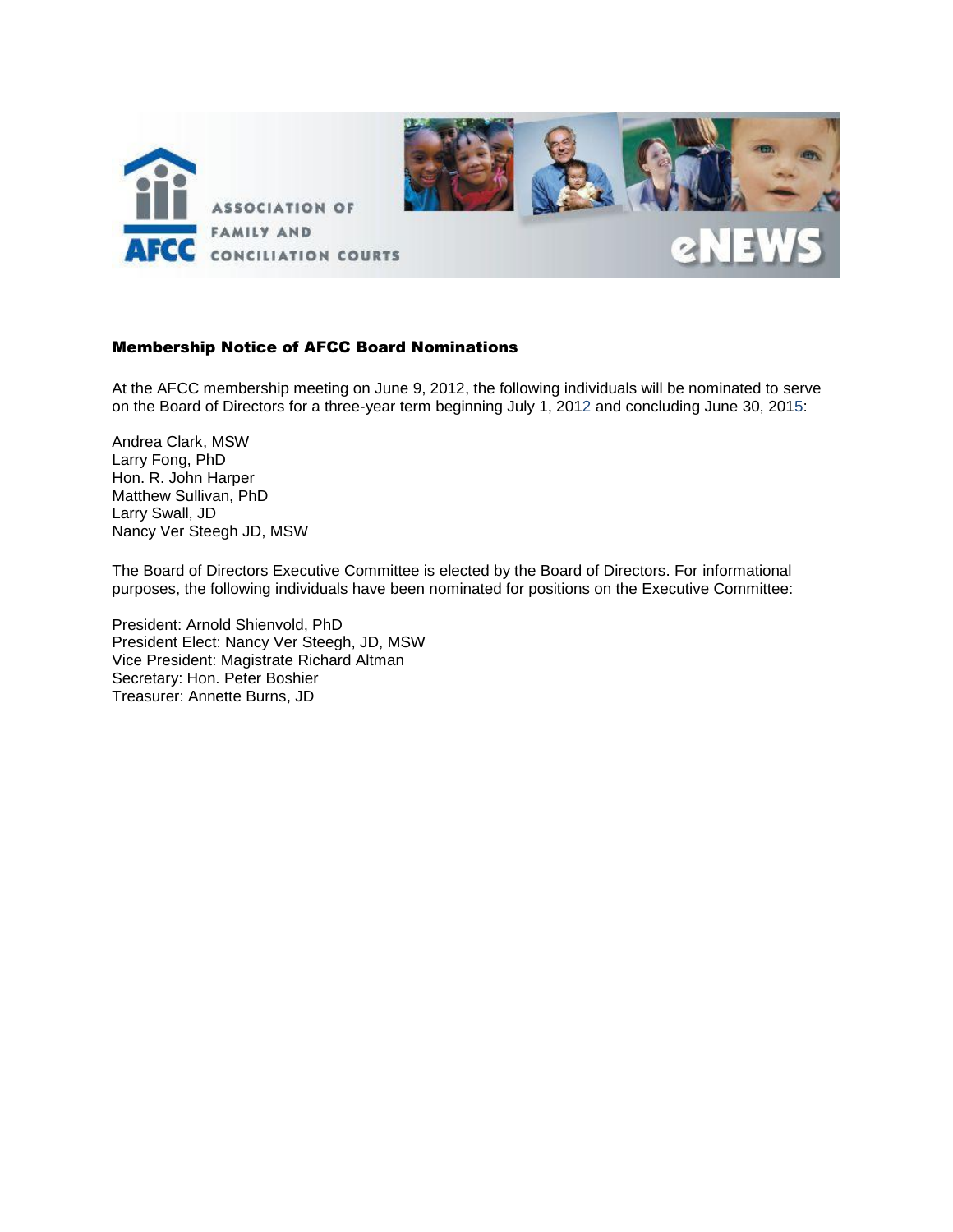

# Membership Notice of AFCC Board Nominations

At the AFCC membership meeting on June 9, 2012, the following individuals will be nominated to serve on the Board of Directors for a three-year term beginning July 1, 2012 and concluding June 30, 2015:

Andrea Clark, MSW Larry Fong, PhD Hon. R. John Harper Matthew Sullivan, PhD Larry Swall, JD Nancy Ver Steegh JD, MSW

The Board of Directors Executive Committee is elected by the Board of Directors. For informational purposes, the following individuals have been nominated for positions on the Executive Committee:

President: Arnold Shienvold, PhD President Elect: Nancy Ver Steegh, JD, MSW Vice President: Magistrate Richard Altman Secretary: Hon. Peter Boshier Treasurer: Annette Burns, JD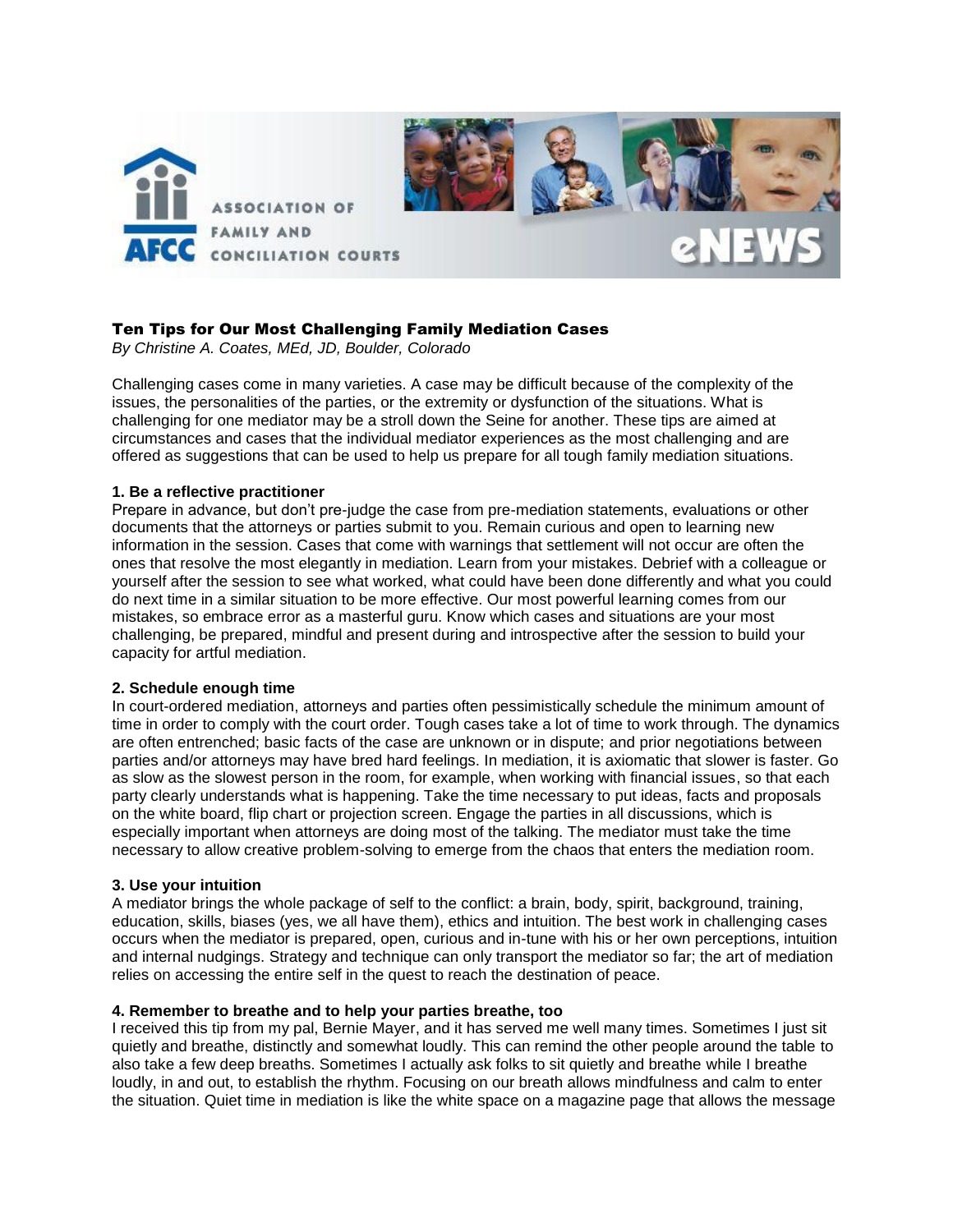

# Ten Tips for Our Most Challenging Family Mediation Cases

*By Christine A. Coates, MEd, JD, Boulder, Colorado*

Challenging cases come in many varieties. A case may be difficult because of the complexity of the issues, the personalities of the parties, or the extremity or dysfunction of the situations. What is challenging for one mediator may be a stroll down the Seine for another. These tips are aimed at circumstances and cases that the individual mediator experiences as the most challenging and are offered as suggestions that can be used to help us prepare for all tough family mediation situations.

# **1. Be a reflective practitioner**

Prepare in advance, but don't pre-judge the case from pre-mediation statements, evaluations or other documents that the attorneys or parties submit to you. Remain curious and open to learning new information in the session. Cases that come with warnings that settlement will not occur are often the ones that resolve the most elegantly in mediation. Learn from your mistakes. Debrief with a colleague or yourself after the session to see what worked, what could have been done differently and what you could do next time in a similar situation to be more effective. Our most powerful learning comes from our mistakes, so embrace error as a masterful guru. Know which cases and situations are your most challenging, be prepared, mindful and present during and introspective after the session to build your capacity for artful mediation.

# **2. Schedule enough time**

In court-ordered mediation, attorneys and parties often pessimistically schedule the minimum amount of time in order to comply with the court order. Tough cases take a lot of time to work through. The dynamics are often entrenched; basic facts of the case are unknown or in dispute; and prior negotiations between parties and/or attorneys may have bred hard feelings. In mediation, it is axiomatic that slower is faster. Go as slow as the slowest person in the room, for example, when working with financial issues, so that each party clearly understands what is happening. Take the time necessary to put ideas, facts and proposals on the white board, flip chart or projection screen. Engage the parties in all discussions, which is especially important when attorneys are doing most of the talking. The mediator must take the time necessary to allow creative problem-solving to emerge from the chaos that enters the mediation room.

# **3. Use your intuition**

A mediator brings the whole package of self to the conflict: a brain, body, spirit, background, training, education, skills, biases (yes, we all have them), ethics and intuition. The best work in challenging cases occurs when the mediator is prepared, open, curious and in-tune with his or her own perceptions, intuition and internal nudgings. Strategy and technique can only transport the mediator so far; the art of mediation relies on accessing the entire self in the quest to reach the destination of peace.

# **4. Remember to breathe and to help your parties breathe, too**

I received this tip from my pal, Bernie Mayer, and it has served me well many times. Sometimes I just sit quietly and breathe, distinctly and somewhat loudly. This can remind the other people around the table to also take a few deep breaths. Sometimes I actually ask folks to sit quietly and breathe while I breathe loudly, in and out, to establish the rhythm. Focusing on our breath allows mindfulness and calm to enter the situation. Quiet time in mediation is like the white space on a magazine page that allows the message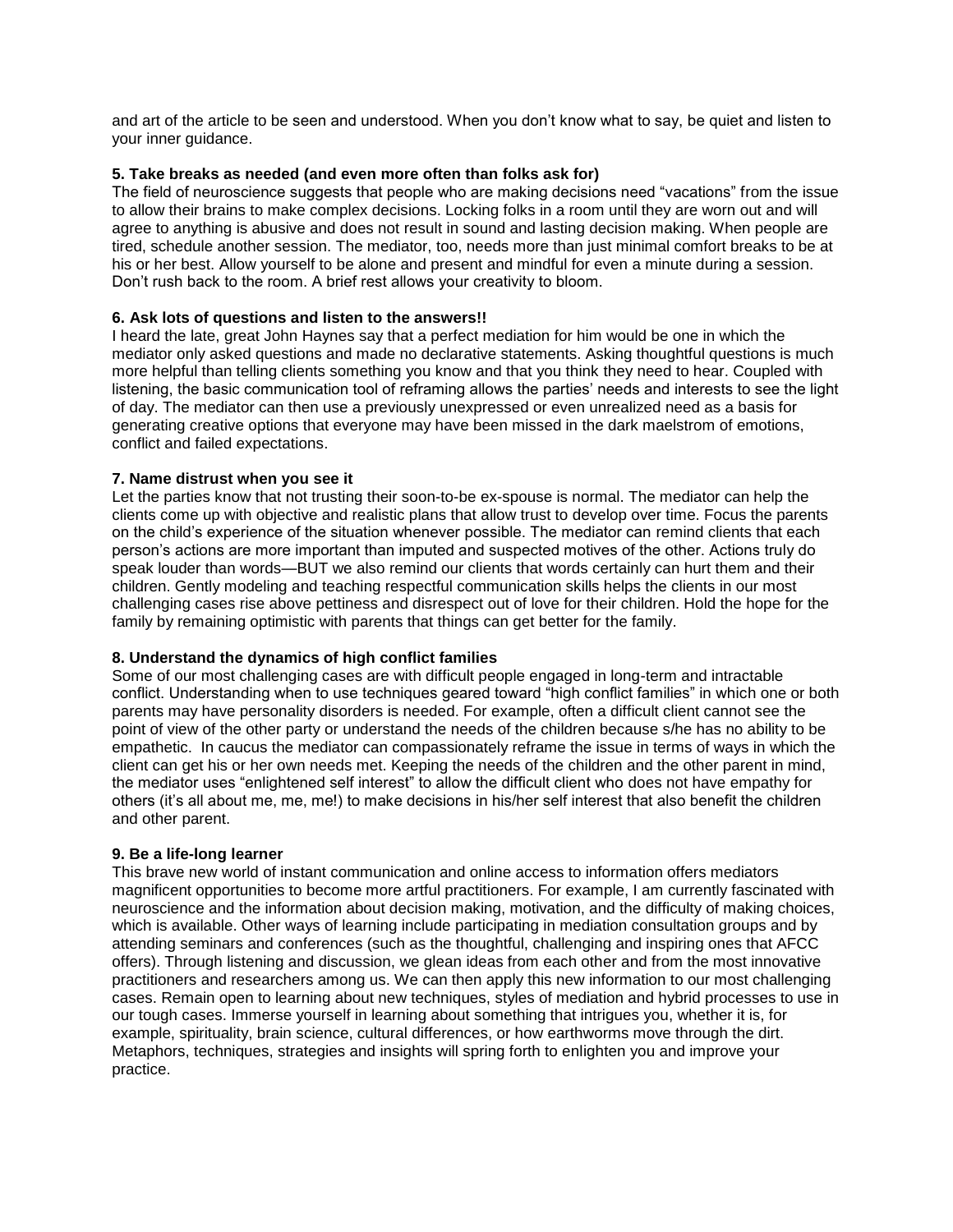and art of the article to be seen and understood. When you don't know what to say, be quiet and listen to your inner guidance.

# **5. Take breaks as needed (and even more often than folks ask for)**

The field of neuroscience suggests that people who are making decisions need "vacations" from the issue to allow their brains to make complex decisions. Locking folks in a room until they are worn out and will agree to anything is abusive and does not result in sound and lasting decision making. When people are tired, schedule another session. The mediator, too, needs more than just minimal comfort breaks to be at his or her best. Allow yourself to be alone and present and mindful for even a minute during a session. Don't rush back to the room. A brief rest allows your creativity to bloom.

# **6. Ask lots of questions and listen to the answers!!**

I heard the late, great John Haynes say that a perfect mediation for him would be one in which the mediator only asked questions and made no declarative statements. Asking thoughtful questions is much more helpful than telling clients something you know and that you think they need to hear. Coupled with listening, the basic communication tool of reframing allows the parties' needs and interests to see the light of day. The mediator can then use a previously unexpressed or even unrealized need as a basis for generating creative options that everyone may have been missed in the dark maelstrom of emotions, conflict and failed expectations.

# **7. Name distrust when you see it**

Let the parties know that not trusting their soon-to-be ex-spouse is normal. The mediator can help the clients come up with objective and realistic plans that allow trust to develop over time. Focus the parents on the child's experience of the situation whenever possible. The mediator can remind clients that each person's actions are more important than imputed and suspected motives of the other. Actions truly do speak louder than words—BUT we also remind our clients that words certainly can hurt them and their children. Gently modeling and teaching respectful communication skills helps the clients in our most challenging cases rise above pettiness and disrespect out of love for their children. Hold the hope for the family by remaining optimistic with parents that things can get better for the family.

# **8. Understand the dynamics of high conflict families**

Some of our most challenging cases are with difficult people engaged in long-term and intractable conflict. Understanding when to use techniques geared toward "high conflict families" in which one or both parents may have personality disorders is needed. For example, often a difficult client cannot see the point of view of the other party or understand the needs of the children because s/he has no ability to be empathetic. In caucus the mediator can compassionately reframe the issue in terms of ways in which the client can get his or her own needs met. Keeping the needs of the children and the other parent in mind, the mediator uses "enlightened self interest" to allow the difficult client who does not have empathy for others (it's all about me, me, me!) to make decisions in his/her self interest that also benefit the children and other parent.

# **9. Be a life-long learner**

This brave new world of instant communication and online access to information offers mediators magnificent opportunities to become more artful practitioners. For example, I am currently fascinated with neuroscience and the information about decision making, motivation, and the difficulty of making choices, which is available. Other ways of learning include participating in mediation consultation groups and by attending seminars and conferences (such as the thoughtful, challenging and inspiring ones that AFCC offers). Through listening and discussion, we glean ideas from each other and from the most innovative practitioners and researchers among us. We can then apply this new information to our most challenging cases. Remain open to learning about new techniques, styles of mediation and hybrid processes to use in our tough cases. Immerse yourself in learning about something that intrigues you, whether it is, for example, spirituality, brain science, cultural differences, or how earthworms move through the dirt. Metaphors, techniques, strategies and insights will spring forth to enlighten you and improve your practice.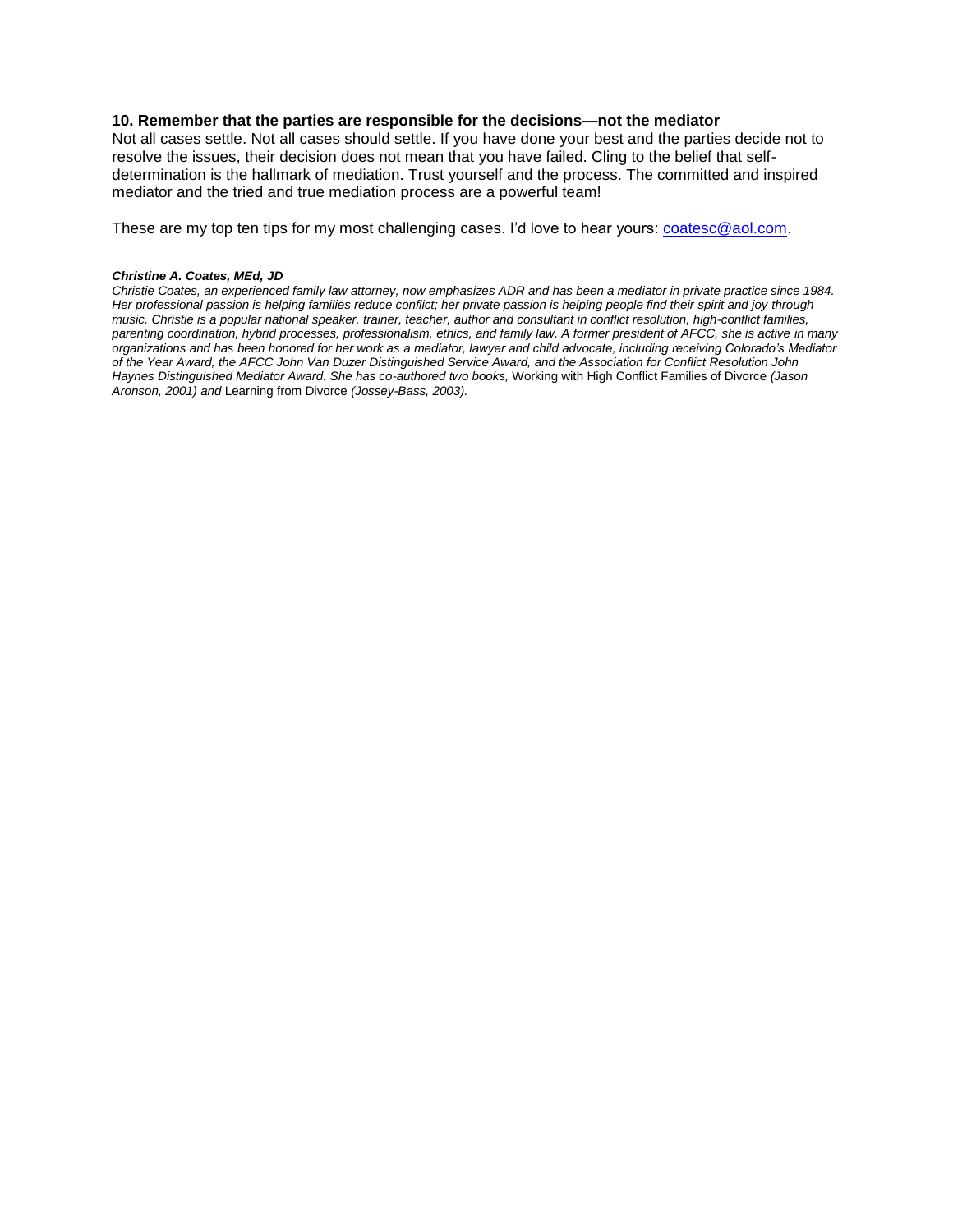# **10. Remember that the parties are responsible for the decisions—not the mediator**

Not all cases settle. Not all cases should settle. If you have done your best and the parties decide not to resolve the issues, their decision does not mean that you have failed. Cling to the belief that selfdetermination is the hallmark of mediation. Trust yourself and the process. The committed and inspired mediator and the tried and true mediation process are a powerful team!

These are my top ten tips for my most challenging cases. I'd love to hear yours: [coatesc@aol.com.](mailto:coatesc@aol.com)

# *Christine A. Coates, MEd, JD*

*Christie Coates, an experienced family law attorney, now emphasizes ADR and has been a mediator in private practice since 1984. Her professional passion is helping families reduce conflict; her private passion is helping people find their spirit and joy through music. Christie is a popular national speaker, trainer, teacher, author and consultant in conflict resolution, high-conflict families, parenting coordination, hybrid processes, professionalism, ethics, and family law. A former president of AFCC, she is active in many organizations and has been honored for her work as a mediator, lawyer and child advocate, including receiving Colorado's Mediator of the Year Award, the AFCC John Van Duzer Distinguished Service Award, and the Association for Conflict Resolution John Haynes Distinguished Mediator Award. She has co-authored two books,* Working with High Conflict Families of Divorce *(Jason Aronson, 2001) and* Learning from Divorce *(Jossey-Bass, 2003).*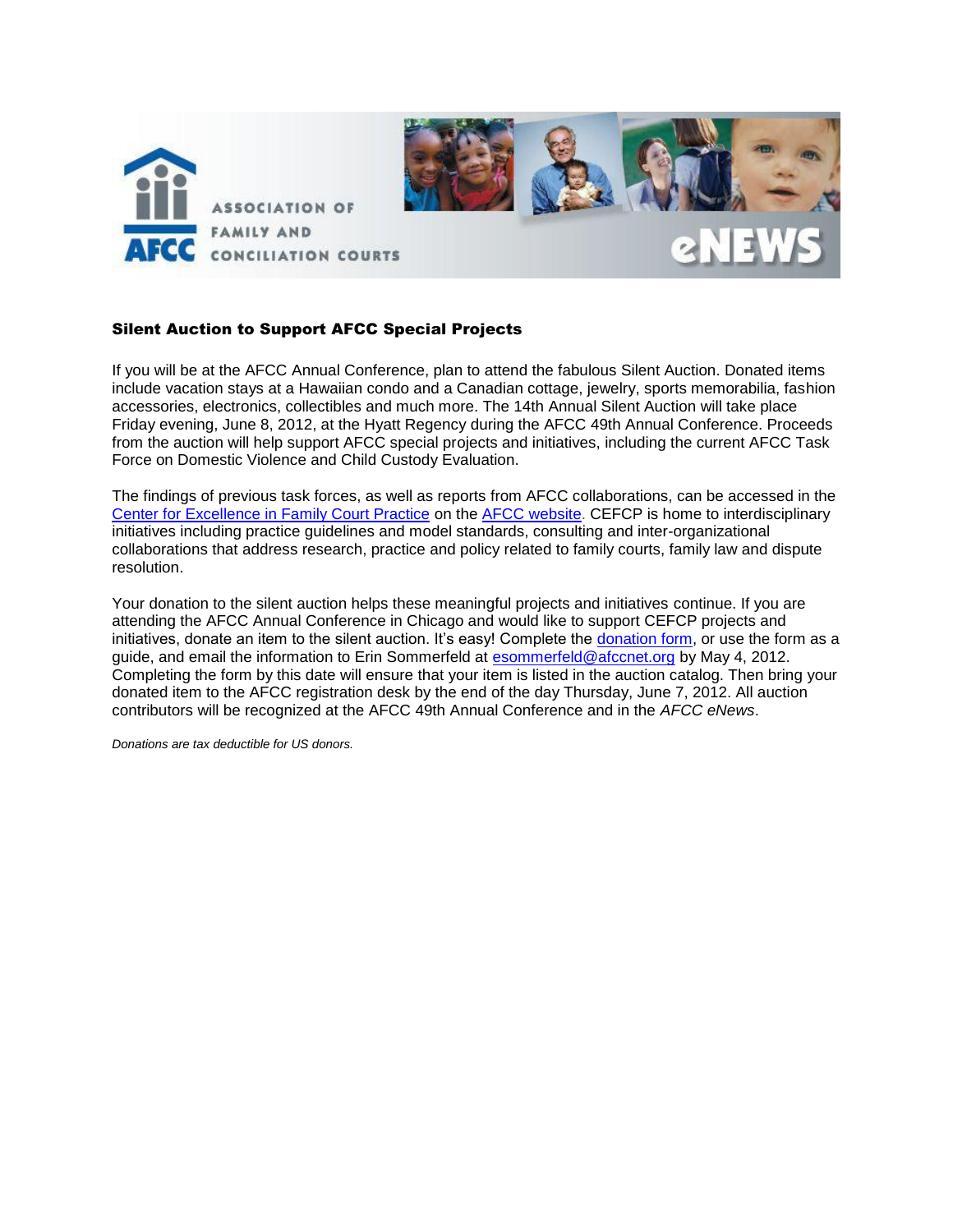

# Silent Auction to Support AFCC Special Projects

If you will be at the AFCC Annual Conference, plan to attend the fabulous Silent Auction. Donated items include vacation stays at a Hawaiian condo and a Canadian cottage, jewelry, sports memorabilia, fashion accessories, electronics, collectibles and much more. The 14th Annual Silent Auction will take place Friday evening, June 8, 2012, at the Hyatt Regency during the AFCC 49th Annual Conference. Proceeds from the auction will help support AFCC special projects and initiatives, including the current AFCC Task Force on Domestic Violence and Child Custody Evaluation.

The findings of previous task forces, as well as reports from AFCC collaborations, can be accessed in the [Center for Excellence in Family Court Practice](http://www.afccnet.org/ResourceCenter/CenterforExcellenceinFamilyCourtPractice.aspx) on the [AFCC website.](http://www.afccnet.org/) CEFCP is home to interdisciplinary initiatives including practice guidelines and model standards, consulting and inter-organizational collaborations that address research, practice and policy related to family courts, family law and dispute resolution.

Your donation to the silent auction helps these meaningful projects and initiatives continue. If you are attending the AFCC Annual Conference in Chicago and would like to support CEFCP projects and initiatives, donate an item to the silent auction. It's easy! Complete the [donation form,](file://afccsbs01.afcc.local/common/AFCC%20CONFERENCES/2012%2006%20Chicago/Auction/silent%20auction%20form%20chicago.pdf) or use the form as a guide, and email the information to Erin Sommerfeld at [esommerfeld@afccnet.org](mailto:esommerfeld@afccnet.org) by May 4, 2012. Completing the form by this date will ensure that your item is listed in the auction catalog. Then bring your donated item to the AFCC registration desk by the end of the day Thursday, June 7, 2012. All auction contributors will be recognized at the AFCC 49th Annual Conference and in the *AFCC eNews*.

*Donations are tax deductible for US donors.*